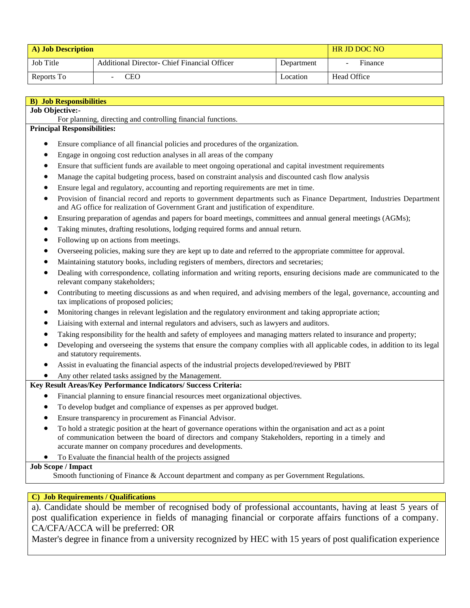| A) Job Description |                                              |            | <b>HR JD DOC NO</b> |
|--------------------|----------------------------------------------|------------|---------------------|
| Job Title          | Additional Director- Chief Financial Officer | Department | Finance             |
| Reports To         | CEO                                          | Location   | Head Office         |

| <b>B)</b> Job Responsibilities                                                                                                                                                                                            |  |  |
|---------------------------------------------------------------------------------------------------------------------------------------------------------------------------------------------------------------------------|--|--|
| Job Objective:-                                                                                                                                                                                                           |  |  |
| For planning, directing and controlling financial functions.                                                                                                                                                              |  |  |
| <b>Principal Responsibilities:</b>                                                                                                                                                                                        |  |  |
| Ensure compliance of all financial policies and procedures of the organization.                                                                                                                                           |  |  |
| Engage in ongoing cost reduction analyses in all areas of the company                                                                                                                                                     |  |  |
| Ensure that sufficient funds are available to meet ongoing operational and capital investment requirements<br>$\bullet$                                                                                                   |  |  |
| Manage the capital budgeting process, based on constraint analysis and discounted cash flow analysis<br>$\bullet$                                                                                                         |  |  |
| Ensure legal and regulatory, accounting and reporting requirements are met in time.<br>$\bullet$                                                                                                                          |  |  |
| Provision of financial record and reports to government departments such as Finance Department, Industries Department<br>$\bullet$<br>and AG office for realization of Government Grant and justification of expenditure. |  |  |
| Ensuring preparation of agendas and papers for board meetings, committees and annual general meetings (AGMs);<br>$\bullet$                                                                                                |  |  |
| Taking minutes, drafting resolutions, lodging required forms and annual return.<br>٠                                                                                                                                      |  |  |
| Following up on actions from meetings.                                                                                                                                                                                    |  |  |
| Overseeing policies, making sure they are kept up to date and referred to the appropriate committee for approval.                                                                                                         |  |  |
| Maintaining statutory books, including registers of members, directors and secretaries;<br>٠                                                                                                                              |  |  |
| Dealing with correspondence, collating information and writing reports, ensuring decisions made are communicated to the<br>$\bullet$<br>relevant company stakeholders;                                                    |  |  |
| Contributing to meeting discussions as and when required, and advising members of the legal, governance, accounting and<br>$\bullet$<br>tax implications of proposed policies;                                            |  |  |
| Monitoring changes in relevant legislation and the regulatory environment and taking appropriate action;<br>$\bullet$                                                                                                     |  |  |
| Liaising with external and internal regulators and advisers, such as lawyers and auditors.<br>$\bullet$                                                                                                                   |  |  |
| Taking responsibility for the health and safety of employees and managing matters related to insurance and property;                                                                                                      |  |  |
| Developing and overseeing the systems that ensure the company complies with all applicable codes, in addition to its legal<br>$\bullet$<br>and statutory requirements.                                                    |  |  |
| Assist in evaluating the financial aspects of the industrial projects developed/reviewed by PBIT                                                                                                                          |  |  |
| Any other related tasks assigned by the Management.                                                                                                                                                                       |  |  |
| Key Result Areas/Key Performance Indicators/ Success Criteria:                                                                                                                                                            |  |  |
| Financial planning to ensure financial resources meet organizational objectives.                                                                                                                                          |  |  |
| To develop budget and compliance of expenses as per approved budget.                                                                                                                                                      |  |  |
| Ensure transparency in procurement as Financial Advisor.                                                                                                                                                                  |  |  |
| To hold a strategic position at the heart of governance operations within the organisation and act as a point                                                                                                             |  |  |

of communication between the board of directors and company Stakeholders, reporting in a timely and accurate manner on company procedures and developments.

## To Evaluate the financial health of the projects assigned

## **Job Scope / Impact**

Smooth functioning of Finance & Account department and company as per Government Regulations.

## **C) Job Requirements / Qualifications**

a). Candidate should be member of recognised body of professional accountants, having at least 5 years of post qualification experience in fields of managing financial or corporate affairs functions of a company. CA/CFA/ACCA will be preferred: OR

Master's degree in finance from a university recognized by HEC with 15 years of post qualification experience